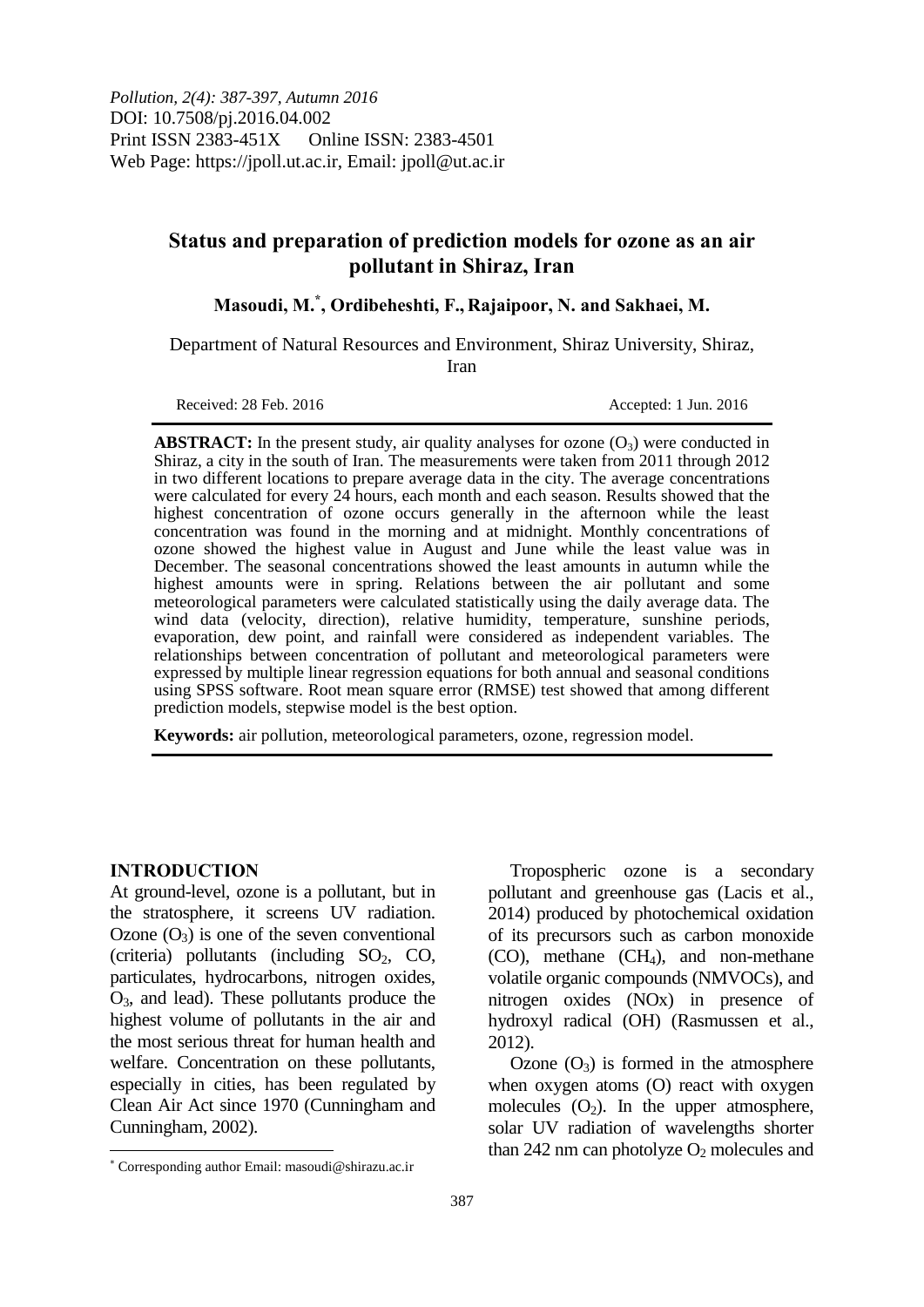# **Status and preparation of prediction models for ozone as an air pollutant in Shiraz, Iran**

**Masoudi, M.\* , Ordibeheshti, F., Rajaipoor, N. and Sakhaei, M.**

Department of Natural Resources and Environment, Shiraz University, Shiraz, Iran

Received: 28 Feb. 2016 **Accepted: 1 Jun. 2016** 

**ABSTRACT:** In the present study, air quality analyses for ozone  $(O_3)$  were conducted in Shiraz, a city in the south of Iran. The measurements were taken from 2011 through 2012 in two different locations to prepare average data in the city. The average concentrations were calculated for every 24 hours, each month and each season. Results showed that the highest concentration of ozone occurs generally in the afternoon while the least concentration was found in the morning and at midnight. Monthly concentrations of ozone showed the highest value in August and June while the least value was in December. The seasonal concentrations showed the least amounts in autumn while the highest amounts were in spring. Relations between the air pollutant and some meteorological parameters were calculated statistically using the daily average data. The wind data (velocity, direction), relative humidity, temperature, sunshine periods, evaporation, dew point, and rainfall were considered as independent variables. The relationships between concentration of pollutant and meteorological parameters were expressed by multiple linear regression equations for both annual and seasonal conditions using SPSS software. Root mean square error (RMSE) test showed that among different prediction models, stepwise model is the best option.

**Keywords:** air pollution, meteorological parameters, ozone, regression model.

#### **INTRODUCTION**

 $\overline{a}$ 

At ground-level, ozone is a pollutant, but in the stratosphere, it screens UV radiation. Ozone  $(O_3)$  is one of the seven conventional (criteria) pollutants (including  $SO_2$ , CO, particulates, hydrocarbons, nitrogen oxides, O3, and lead). These pollutants produce the highest volume of pollutants in the air and the most serious threat for human health and welfare. Concentration on these pollutants, especially in cities, has been regulated by Clean Air Act since 1970 (Cunningham and Cunningham, 2002).

Tropospheric ozone is a secondary pollutant and greenhouse gas (Lacis et al., 2014) produced by photochemical oxidation of its precursors such as carbon monoxide  $(CO)$ , methane  $(CH<sub>4</sub>)$ , and non-methane volatile organic compounds (NMVOCs), and nitrogen oxides (NOx) in presence of hydroxyl radical (OH) (Rasmussen et al., 2012).

Ozone  $(O_3)$  is formed in the atmosphere when oxygen atoms (O) react with oxygen molecules  $(O_2)$ . In the upper atmosphere, solar UV radiation of wavelengths shorter than 242 nm can photolyze  $O<sub>2</sub>$  molecules and

Corresponding author Email: masoudi@shirazu.ac.ir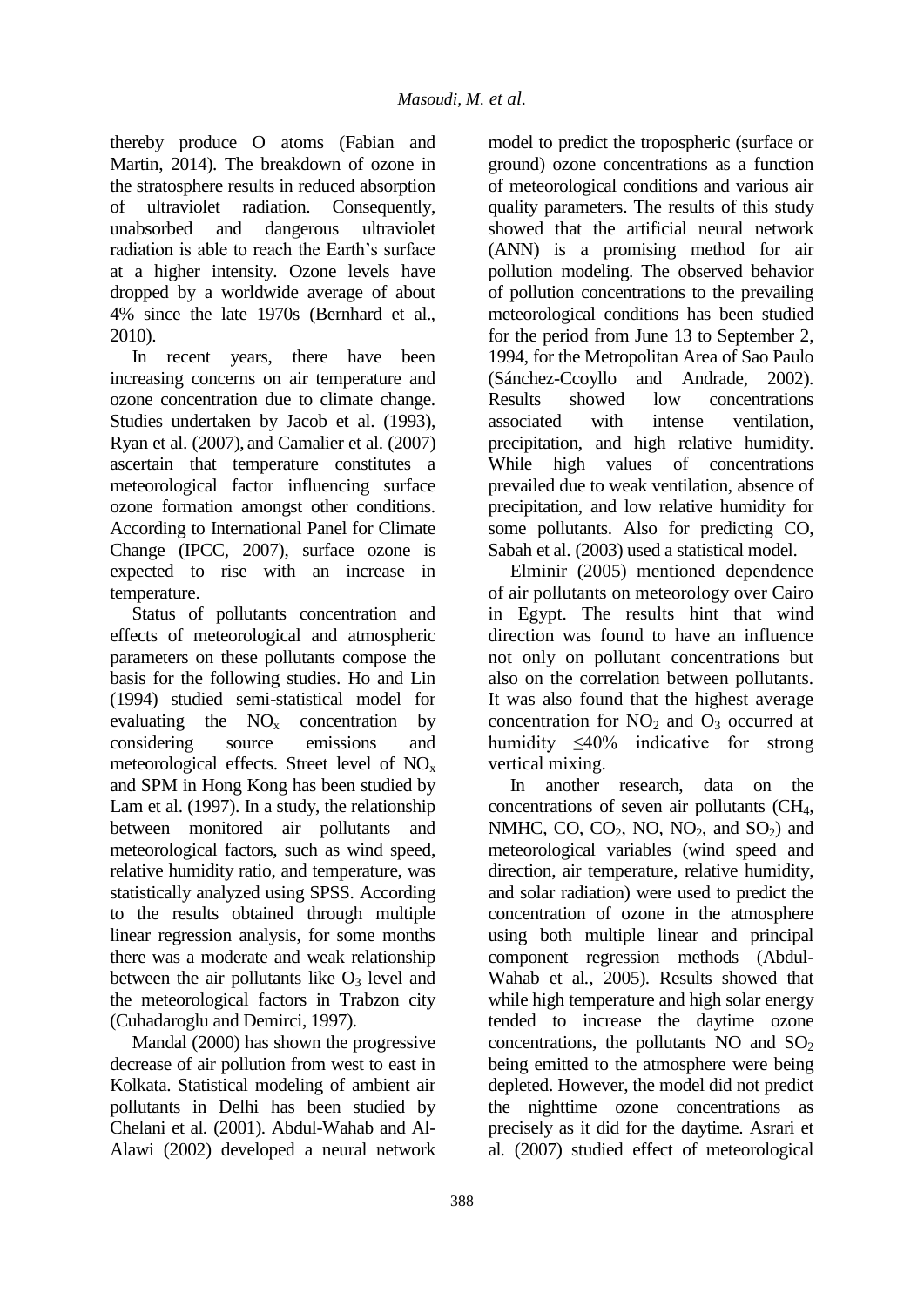thereby produce O atoms (Fabian and Martin, 2014). The breakdown of ozone in the stratosphere results in reduced absorption of ultraviolet radiation. Consequently, unabsorbed and dangerous ultraviolet radiation is able to reach the Earth's surface at a higher intensity. Ozone levels have dropped by a worldwide average of about 4% since the late 1970s (Bernhard et al., 2010).

In recent years, there have been increasing concerns on air temperature and ozone concentration due to climate change. Studies undertaken by Jacob et al. (1993), Ryan et al. (2007), and Camalier et al. (2007) ascertain that temperature constitutes a meteorological factor influencing surface ozone formation amongst other conditions. According to International Panel for Climate Change (IPCC, 2007), surface ozone is expected to rise with an increase in temperature.

Status of pollutants concentration and effects of meteorological and atmospheric parameters on these pollutants compose the basis for the following studies. Ho and Lin (1994) studied semi-statistical model for evaluating the  $NO<sub>x</sub>$  concentration by considering source emissions and meteorological effects. Street level of NO<sup>x</sup> and SPM in Hong Kong has been studied by Lam et al. (1997). In a study, the relationship between monitored air pollutants and meteorological factors, such as wind speed, relative humidity ratio, and temperature, was statistically analyzed using SPSS. According to the results obtained through multiple linear regression analysis, for some months there was a moderate and weak relationship between the air pollutants like  $O_3$  level and the meteorological factors in Trabzon city (Cuhadaroglu and Demirci, 1997).

Mandal (2000) has shown the progressive decrease of air pollution from west to east in Kolkata. Statistical modeling of ambient air pollutants in Delhi has been studied by Chelani et al*.* (2001). Abdul-Wahab and Al-Alawi (2002) developed a neural network model to predict the tropospheric (surface or ground) ozone concentrations as a function of meteorological conditions and various air quality parameters. The results of this study showed that the artificial neural network (ANN) is a promising method for air pollution modeling. The observed behavior of pollution concentrations to the prevailing meteorological conditions has been studied for the period from June 13 to September 2, 1994, for the Metropolitan Area of Sao Paulo (Sánchez-Ccoyllo and Andrade, 2002). Results showed low concentrations associated with intense ventilation, precipitation, and high relative humidity. While high values of concentrations prevailed due to weak ventilation, absence of precipitation, and low relative humidity for some pollutants. Also for predicting CO, Sabah et al. (2003) used a statistical model.

Elminir (2005) mentioned dependence of air pollutants on meteorology over Cairo in Egypt. The results hint that wind direction was found to have an influence not only on pollutant concentrations but also on the correlation between pollutants. It was also found that the highest average concentration for  $NO<sub>2</sub>$  and  $O<sub>3</sub>$  occurred at humidity ≤40% indicative for strong vertical mixing.

In another research, data on the concentrations of seven air pollutants (CH4, NMHC, CO,  $CO<sub>2</sub>$ , NO, NO<sub>2</sub>, and SO<sub>2</sub>) and meteorological variables (wind speed and direction, air temperature, relative humidity, and solar radiation) were used to predict the concentration of ozone in the atmosphere using both multiple linear and principal component regression methods (Abdul-Wahab et al*.*, 2005). Results showed that while high temperature and high solar energy tended to increase the daytime ozone concentrations, the pollutants  $NO$  and  $SO<sub>2</sub>$ being emitted to the atmosphere were being depleted. However, the model did not predict the nighttime ozone concentrations as precisely as it did for the daytime. Asrari et al*.* (2007) studied effect of meteorological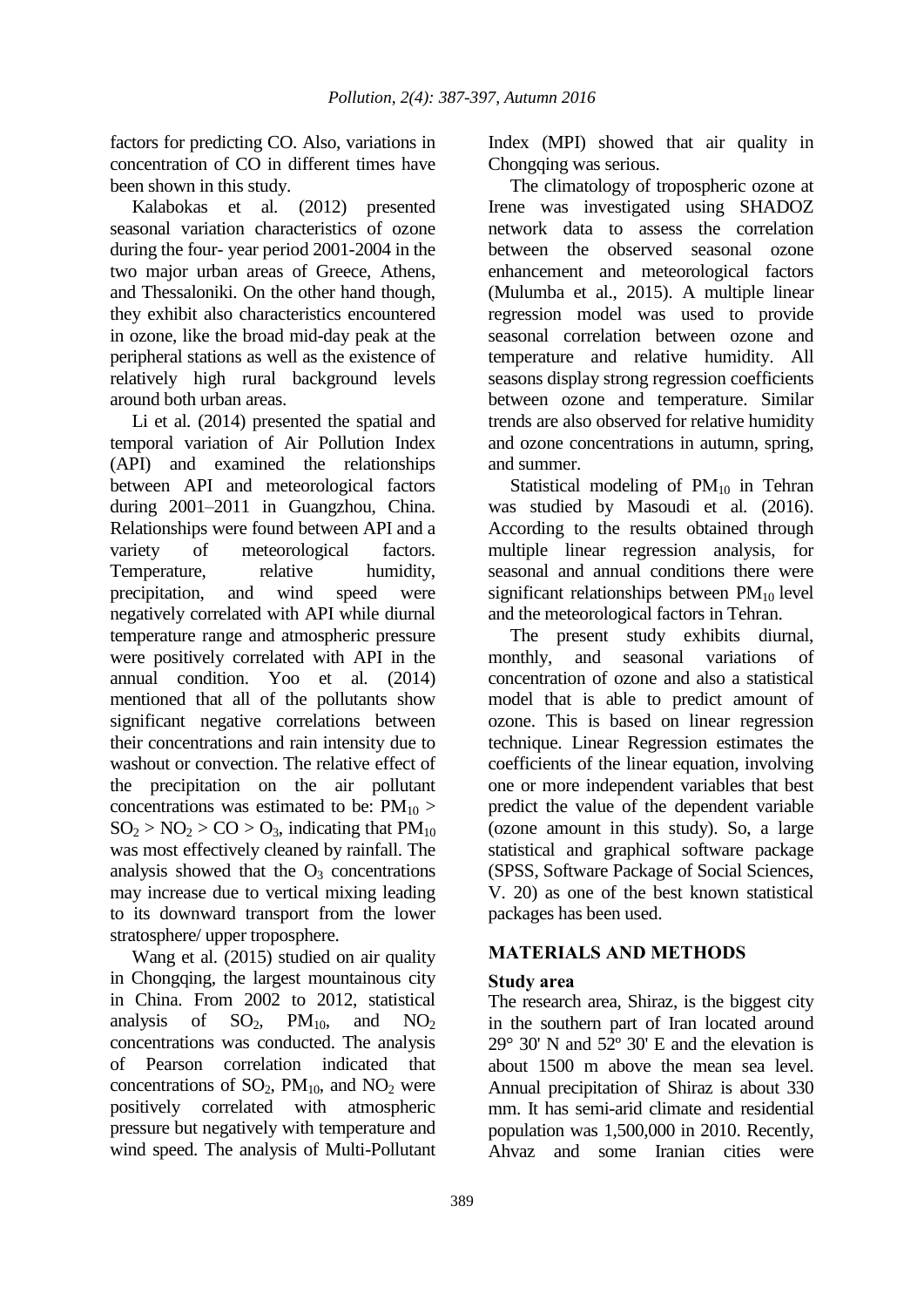factors for predicting CO. Also, variations in concentration of CO in different times have been shown in this study.

Kalabokas et al*.* (2012) presented seasonal variation characteristics of ozone during the four- year period 2001-2004 in the two major urban areas of Greece, Athens, and Thessaloniki. On the other hand though, they exhibit also characteristics encountered in ozone, like the broad mid-day peak at the peripheral stations as well as the existence of relatively high rural background levels around both urban areas.

Li et al.  $(2014)$  presented the spatial and temporal variation of Air Pollution Index (API) and examined the relationships between API and meteorological factors during 2001–2011 in Guangzhou, China. Relationships were found between API and a variety of meteorological factors. Temperature, relative humidity, precipitation, and wind speed were negatively correlated with API while diurnal temperature range and atmospheric pressure were positively correlated with API in the annual condition. Yoo et al*.* (2014) mentioned that all of the pollutants show significant negative correlations between their concentrations and rain intensity due to washout or convection. The relative effect of the precipitation on the air pollutant concentrations was estimated to be:  $PM_{10}$  >  $SO_2 > NO_2 > CO > O_3$ , indicating that  $PM_{10}$ was most effectively cleaned by rainfall. The analysis showed that the  $O_3$  concentrations may increase due to vertical mixing leading to its downward transport from the lower stratosphere/ upper troposphere.

Wang et al*.* (2015) studied on air quality in Chongqing, the largest mountainous city in China. From 2002 to 2012, statistical analysis of  $SO_2$ ,  $PM_{10}$ , and  $NO_2$ concentrations was conducted. The analysis of Pearson correlation indicated that concentrations of  $SO<sub>2</sub>$ ,  $PM<sub>10</sub>$ , and  $NO<sub>2</sub>$  were positively correlated with atmospheric pressure but negatively with temperature and wind speed. The analysis of Multi-Pollutant

Index (MPI) showed that air quality in Chongqing was serious.

The climatology of tropospheric ozone at Irene was investigated using SHADOZ network data to assess the correlation between the observed seasonal ozone enhancement and meteorological factors (Mulumba et al., 2015). A multiple linear regression model was used to provide seasonal correlation between ozone and temperature and relative humidity. All seasons display strong regression coefficients between ozone and temperature. Similar trends are also observed for relative humidity and ozone concentrations in autumn, spring, and summer.

Statistical modeling of  $PM_{10}$  in Tehran was studied by Masoudi et al*.* (2016). According to the results obtained through multiple linear regression analysis, for seasonal and annual conditions there were significant relationships between  $PM_{10}$  level and the meteorological factors in Tehran.

The present study exhibits diurnal, monthly, and seasonal variations of concentration of ozone and also a statistical model that is able to predict amount of ozone. This is based on linear regression technique. Linear Regression estimates the coefficients of the linear equation, involving one or more independent variables that best predict the value of the dependent variable (ozone amount in this study). So, a large statistical and graphical software package (SPSS, Software Package of Social Sciences, V. 20) as one of the best known statistical packages has been used.

## **MATERIALS AND METHODS**

## **Study area**

The research area, Shiraz, is the biggest city in the southern part of Iran located around  $29^{\circ}$  30' N and  $52^{\circ}$  30' E and the elevation is about 1500 m above the mean sea level. Annual precipitation of Shiraz is about 330 mm. It has semi-arid climate and residential population was 1,500,000 in 2010. Recently, Ahvaz and some Iranian cities were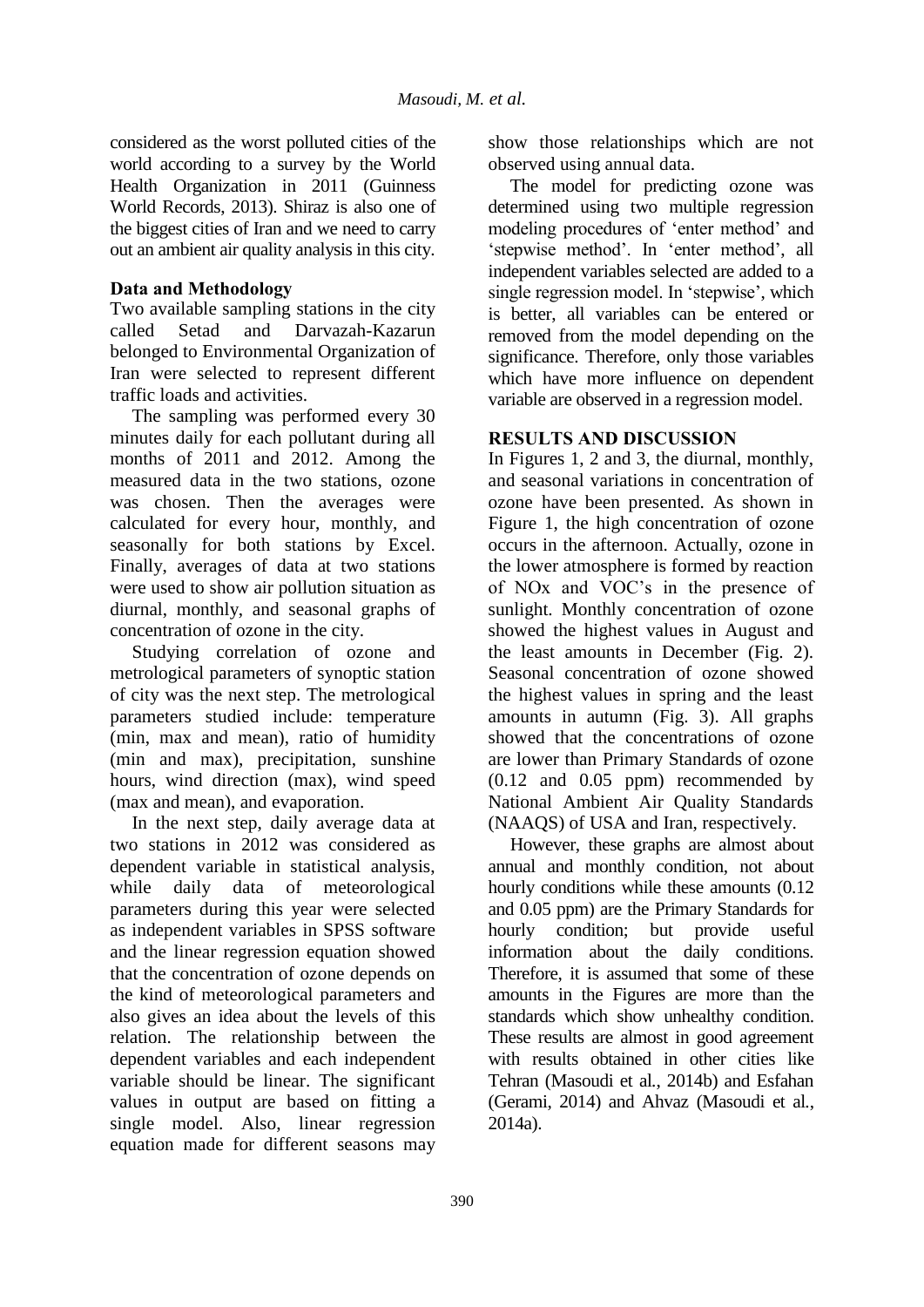considered as the worst polluted cities of the world according to a survey by the World Health Organization in 2011 (Guinness World Records, 2013). Shiraz is also one of the biggest cities of Iran and we need to carry out an ambient air quality analysis in this city.

## **Data and Methodology**

Two available sampling stations in the city called Setad and Darvazah-Kazarun belonged to Environmental Organization of Iran were selected to represent different traffic loads and activities.

The sampling was performed every 30 minutes daily for each pollutant during all months of 2011 and 2012. Among the measured data in the two stations, ozone was chosen. Then the averages were calculated for every hour, monthly, and seasonally for both stations by Excel. Finally, averages of data at two stations were used to show air pollution situation as diurnal, monthly, and seasonal graphs of concentration of ozone in the city.

Studying correlation of ozone and metrological parameters of synoptic station of city was the next step. The metrological parameters studied include: temperature (min, max and mean), ratio of humidity (min and max), precipitation, sunshine hours, wind direction (max), wind speed (max and mean), and evaporation.

In the next step, daily average data at two stations in 2012 was considered as dependent variable in statistical analysis, while daily data of meteorological parameters during this year were selected as independent variables in SPSS software and the linear regression equation showed that the concentration of ozone depends on the kind of meteorological parameters and also gives an idea about the levels of this relation. The relationship between the dependent variables and each independent variable should be linear. The significant values in output are based on fitting a single model. Also, linear regression equation made for different seasons may

show those relationships which are not observed using annual data.

The model for predicting ozone was determined using two multiple regression modeling procedures of 'enter method' and 'stepwise method'. In 'enter method', all independent variables selected are added to a single regression model. In 'stepwise', which is better, all variables can be entered or removed from the model depending on the significance. Therefore, only those variables which have more influence on dependent variable are observed in a regression model.

## **RESULTS AND DISCUSSION**

In Figures 1, 2 and 3, the diurnal, monthly, and seasonal variations in concentration of ozone have been presented. As shown in Figure 1, the high concentration of ozone occurs in the afternoon. Actually, ozone in the lower atmosphere is formed by reaction of NOx and VOC's in the presence of sunlight. Monthly concentration of ozone showed the highest values in August and the least amounts in December (Fig. 2). Seasonal concentration of ozone showed the highest values in spring and the least amounts in autumn (Fig. 3). All graphs showed that the concentrations of ozone are lower than Primary Standards of ozone (0.12 and 0.05 ppm) recommended by National Ambient Air Quality Standards (NAAQS) of USA and Iran, respectively.

However, these graphs are almost about annual and monthly condition, not about hourly conditions while these amounts  $(0.12)$ and 0.05 ppm) are the Primary Standards for hourly condition; but provide useful information about the daily conditions. Therefore, it is assumed that some of these amounts in the Figures are more than the standards which show unhealthy condition. These results are almost in good agreement with results obtained in other cities like Tehran (Masoudi et al*.*, 2014b) and Esfahan (Gerami, 2014) and Ahvaz (Masoudi et al*.*, 2014a).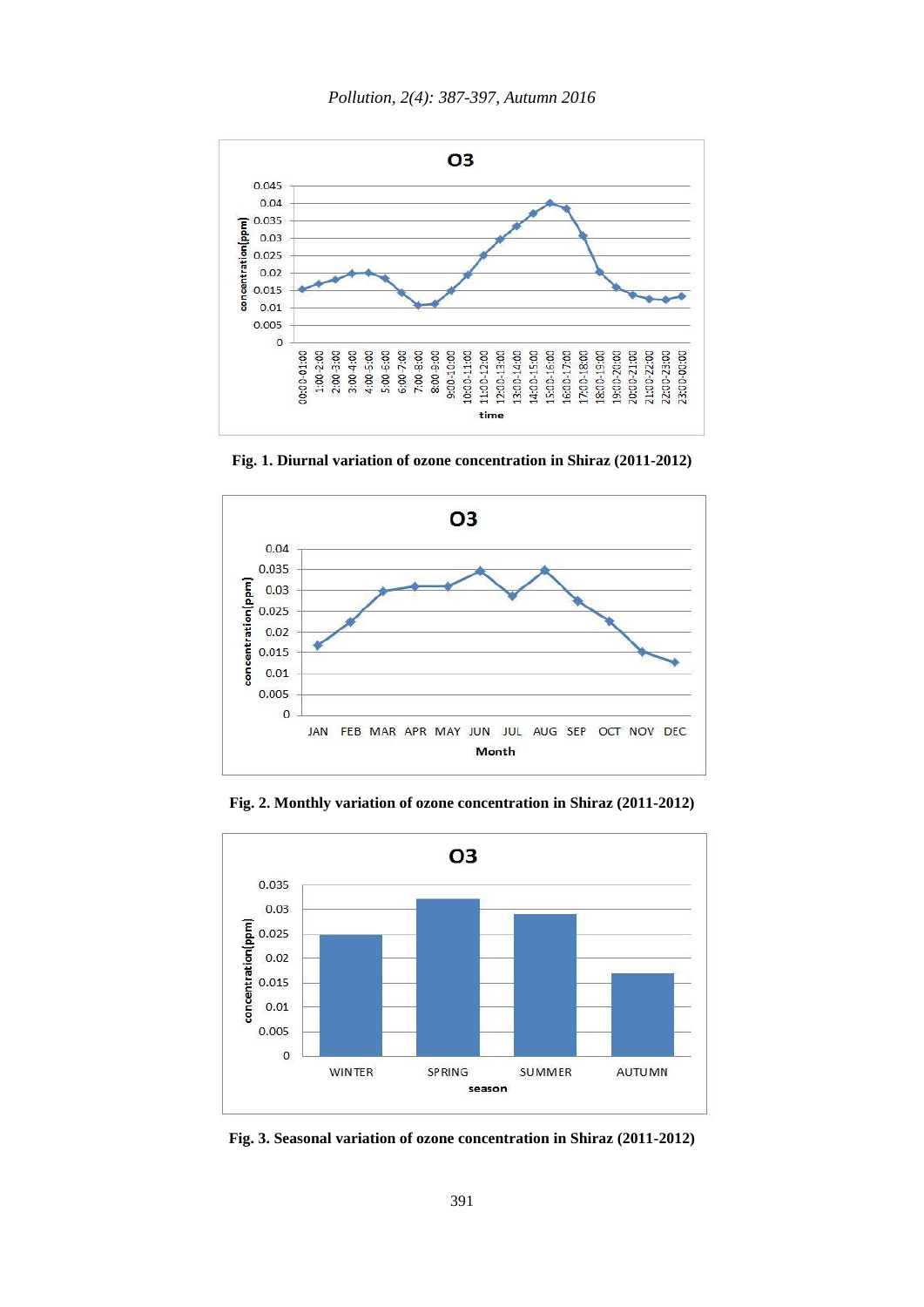

**Fig. 1. Diurnal variation of ozone concentration in Shiraz (2011-2012)**



**Fig. 2. Monthly variation of ozone concentration in Shiraz (2011-2012)**



**Fig. 3. Seasonal variation of ozone concentration in Shiraz (2011-2012)**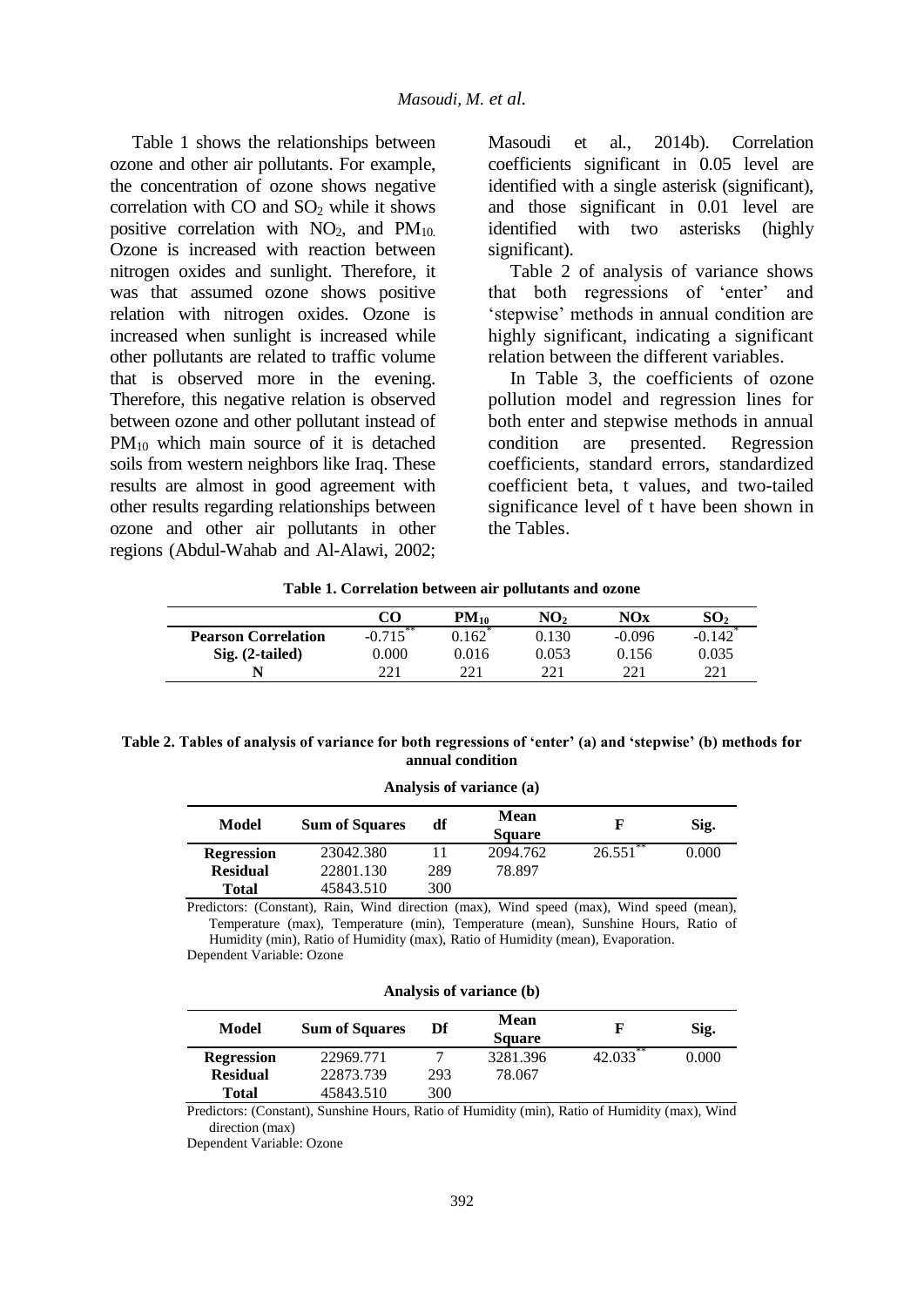Table 1 shows the relationships between ozone and other air pollutants. For example, the concentration of ozone shows negative correlation with  $CO$  and  $SO<sub>2</sub>$  while it shows positive correlation with  $NO<sub>2</sub>$ , and  $PM<sub>10</sub>$ . Ozone is increased with reaction between nitrogen oxides and sunlight. Therefore, it was that assumed ozone shows positive relation with nitrogen oxides. Ozone is increased when sunlight is increased while other pollutants are related to traffic volume that is observed more in the evening. Therefore, this negative relation is observed between ozone and other pollutant instead of PM<sub>10</sub> which main source of it is detached soils from western neighbors like Iraq. These results are almost in good agreement with other results regarding relationships between ozone and other air pollutants in other regions (Abdul-Wahab and Al-Alawi, 2002; Masoudi et al*.*, 2014b). Correlation coefficients significant in 0.05 level are identified with a single asterisk (significant), and those significant in 0.01 level are identified with two asterisks (highly significant).

Table 2 of analysis of variance shows that both regressions of 'enter' and 'stepwise' methods in annual condition are highly significant, indicating a significant relation between the different variables.

In Table 3, the coefficients of ozone pollution model and regression lines for both enter and stepwise methods in annual condition are presented. Regression coefficients, standard errors, standardized coefficient beta, t values, and two-tailed significance level of t have been shown in the Tables.

**Table 1. Correlation between air pollutants and ozone**

|                            | CO          | $PM_{10}$ | NO,   | $\bf{NOx}$ | SO,      |
|----------------------------|-------------|-----------|-------|------------|----------|
| <b>Pearson Correlation</b> | $-0.715***$ | 0.162     | 0.130 | $-0.096$   | $-0.142$ |
| Sig. (2-tailed)            | $0.000\,$   | 0.016     | 0.053 | 0.156      | 0.035    |
|                            | 221         | 221       | 221   | つつ 1       | 221      |

| Table 2. Tables of analysis of variance for both regressions of 'enter' (a) and 'stepwise' (b) methods for |  |  |  |
|------------------------------------------------------------------------------------------------------------|--|--|--|
| annual condition                                                                                           |  |  |  |

**Analysis of variance (a)**

| Model             | <b>Sum of Squares</b> | df  | Mean<br><b>Square</b> | F           | Sig.  |
|-------------------|-----------------------|-----|-----------------------|-------------|-------|
| <b>Regression</b> | 23042.380             |     | 2094.762              | $26.551$ ** | 0.000 |
| <b>Residual</b>   | 22801.130             | 289 | 78.897                |             |       |
| <b>Total</b>      | 45843.510             | 300 |                       |             |       |

Predictors: (Constant), Rain, Wind direction (max), Wind speed (max), Wind speed (mean), Temperature (max), Temperature (min), Temperature (mean), Sunshine Hours, Ratio of Humidity (min), Ratio of Humidity (max), Ratio of Humidity (mean), Evaporation.

Dependent Variable: Ozone

|  | Analysis of variance (b) |  |
|--|--------------------------|--|
|  |                          |  |

| Model             | <b>Sum of Squares</b> | Df  | Mean<br><b>Square</b> |             | Sig.  |
|-------------------|-----------------------|-----|-----------------------|-------------|-------|
| <b>Regression</b> | 22969.771             | ⇁   | 3281.396              | $42.033$ ** | 0.000 |
| <b>Residual</b>   | 22873.739             | 293 | 78.067                |             |       |
| <b>Total</b>      | 45843.510             | 300 |                       |             |       |

Predictors: (Constant), Sunshine Hours, Ratio of Humidity (min), Ratio of Humidity (max), Wind direction (max)

Dependent Variable: Ozone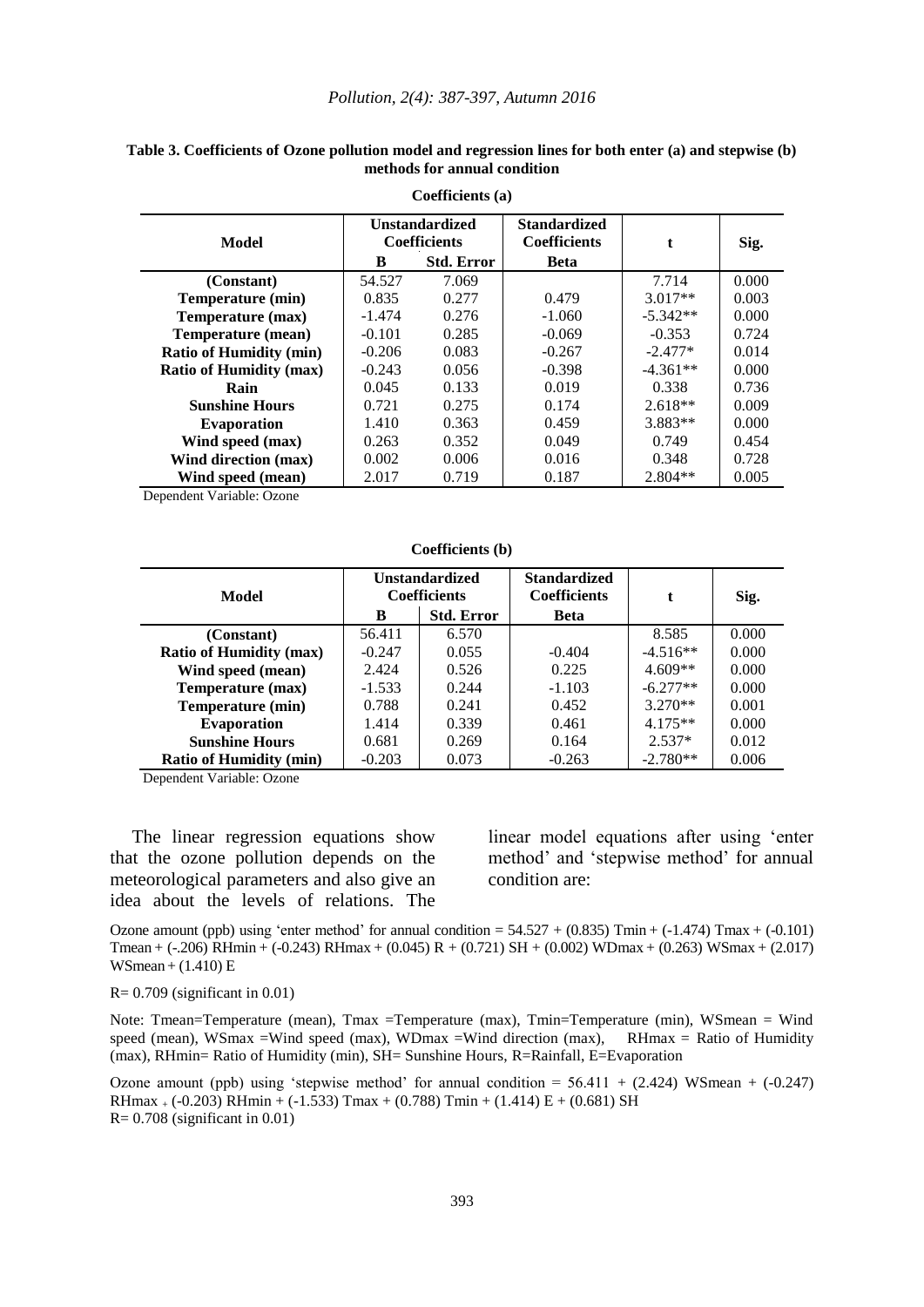|                                |          | $\sim$                                       |                                            |            |       |
|--------------------------------|----------|----------------------------------------------|--------------------------------------------|------------|-------|
| Model                          |          | <b>Unstandardized</b><br><b>Coefficients</b> | <b>Standardized</b><br><b>Coefficients</b> | t          | Sig.  |
|                                | B        | <b>Std. Error</b>                            | <b>Beta</b>                                |            |       |
| (Constant)                     | 54.527   | 7.069                                        |                                            | 7.714      | 0.000 |
| Temperature (min)              | 0.835    | 0.277                                        | 0.479                                      | $3.017**$  | 0.003 |
| Temperature (max)              | $-1.474$ | 0.276                                        | $-1.060$                                   | $-5.342**$ | 0.000 |
| <b>Temperature (mean)</b>      | $-0.101$ | 0.285                                        | $-0.069$                                   | $-0.353$   | 0.724 |
| <b>Ratio of Humidity (min)</b> | $-0.206$ | 0.083                                        | $-0.267$                                   | $-2.477*$  | 0.014 |
| <b>Ratio of Humidity (max)</b> | $-0.243$ | 0.056                                        | $-0.398$                                   | $-4.361**$ | 0.000 |
| Rain                           | 0.045    | 0.133                                        | 0.019                                      | 0.338      | 0.736 |
| <b>Sunshine Hours</b>          | 0.721    | 0.275                                        | 0.174                                      | $2.618**$  | 0.009 |
| <b>Evaporation</b>             | 1.410    | 0.363                                        | 0.459                                      | 3.883**    | 0.000 |
| Wind speed (max)               | 0.263    | 0.352                                        | 0.049                                      | 0.749      | 0.454 |
| Wind direction (max)           | 0.002    | 0.006                                        | 0.016                                      | 0.348      | 0.728 |
| Wind speed (mean)              | 2.017    | 0.719                                        | 0.187                                      | $2.804**$  | 0.005 |

### **Table 3. Coefficients of Ozone pollution model and regression lines for both enter (a) and stepwise (b) methods for annual condition Coefficients (a)**

Dependent Variable: Ozone

#### **Coefficients (b)**

| Model                          |                        | <b>Unstandardized</b><br><b>Coefficients</b> | <b>Standardized</b><br><b>Coefficients</b> | t.         | Sig.  |
|--------------------------------|------------------------|----------------------------------------------|--------------------------------------------|------------|-------|
|                                | B<br><b>Std. Error</b> |                                              | <b>Beta</b>                                |            |       |
| (Constant)                     | 56.411                 | 6.570                                        |                                            | 8.585      | 0.000 |
| <b>Ratio of Humidity (max)</b> | $-0.247$               | 0.055                                        | $-0.404$                                   | $-4.516**$ | 0.000 |
| Wind speed (mean)              | 2.424                  | 0.526                                        | 0.225                                      | $4.609**$  | 0.000 |
| Temperature (max)              | $-1.533$               | 0.244                                        | $-1.103$                                   | $-6.277**$ | 0.000 |
| Temperature (min)              | 0.788                  | 0.241                                        | 0.452                                      | $3.270**$  | 0.001 |
| <b>Evaporation</b>             | 1.414                  | 0.339                                        | 0.461                                      | $4.175**$  | 0.000 |
| <b>Sunshine Hours</b>          | 0.681                  | 0.269                                        | 0.164                                      | $2.537*$   | 0.012 |
| <b>Ratio of Humidity (min)</b> | $-0.203$               | 0.073                                        | $-0.263$                                   | $-2.780**$ | 0.006 |

Dependent Variable: Ozone

The linear regression equations show that the ozone pollution depends on the meteorological parameters and also give an idea about the levels of relations. The linear model equations after using 'enter method' and 'stepwise method' for annual condition are:

Ozone amount (ppb) using 'enter method' for annual condition =  $54.527 + (0.835)$  Tmin + (-1.474) Tmax + (-0.101) Tmean + (-.206) RHmin + (-0.243) RHmax + (0.045) R + (0.721) SH + (0.002) WDmax + (0.263) WSmax + (2.017) WSmean+ (1.410) E

 $R = 0.709$  (significant in 0.01)

Note: Tmean=Temperature (mean), Tmax =Temperature (max), Tmin=Temperature (min), WSmean = Wind speed (mean), WSmax =Wind speed (max), WDmax =Wind direction (max), RHmax = Ratio of Humidity (max), RHmin= Ratio of Humidity (min), SH= Sunshine Hours, R=Rainfall, E=Evaporation

Ozone amount (ppb) using 'stepwise method' for annual condition  $= 56.411 + (2.424)$  WSmean + (-0.247) RHmax  $_+$  (-0.203) RHmin + (-1.533) Tmax + (0.788) Tmin + (1.414) E + (0.681) SH  $R = 0.708$  (significant in 0.01)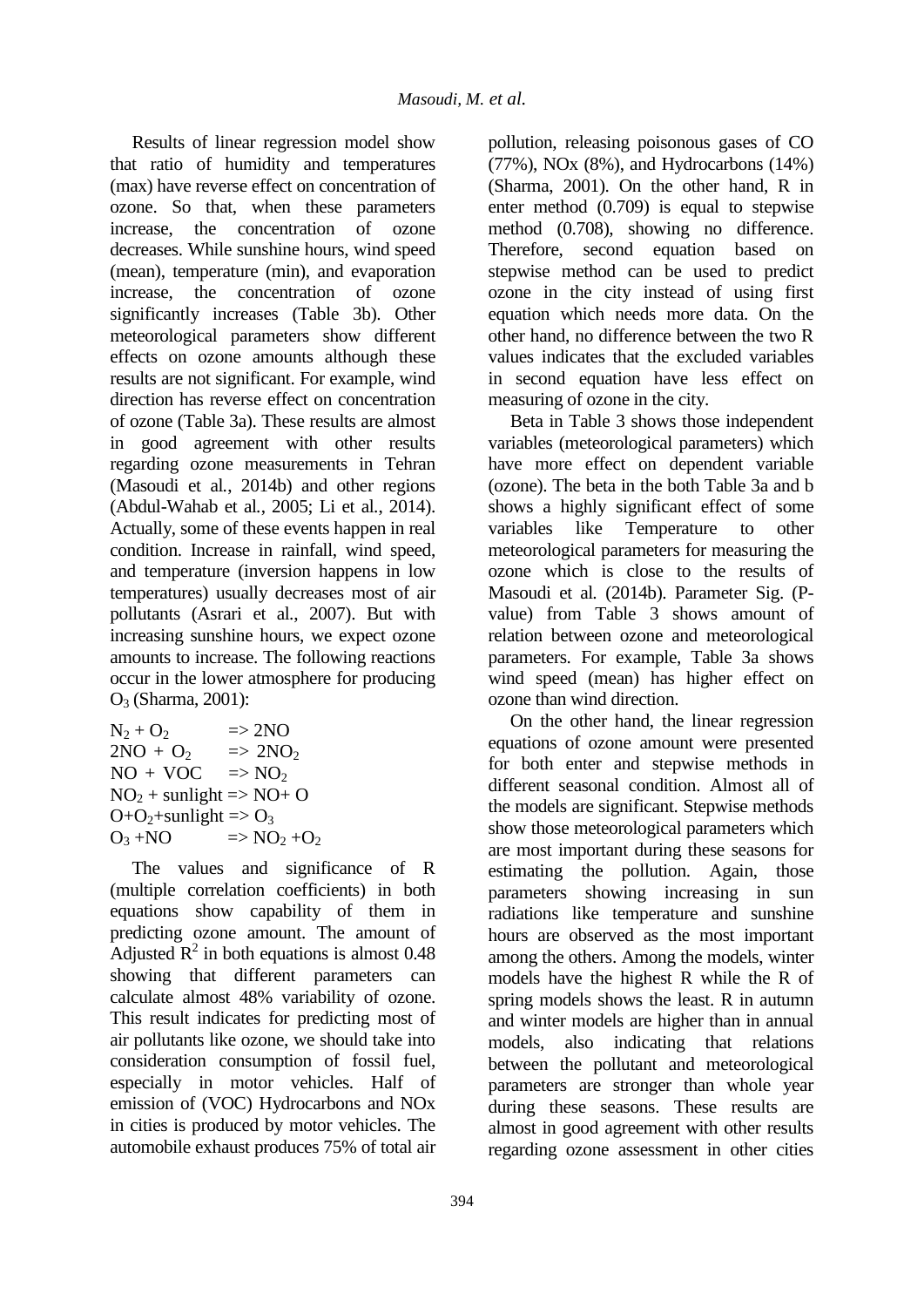Results of linear regression model show that ratio of humidity and temperatures (max) have reverse effect on concentration of ozone. So that, when these parameters increase, the concentration of ozone decreases. While sunshine hours, wind speed (mean), temperature (min), and evaporation increase, the concentration of ozone significantly increases (Table 3b). Other meteorological parameters show different effects on ozone amounts although these results are not significant. For example, wind direction has reverse effect on concentration of ozone (Table 3a). These results are almost in good agreement with other results regarding ozone measurements in Tehran (Masoudi et al*.*, 2014b) and other regions (Abdul-Wahab et al*.*, 2005; Li et al*.*, 2014). Actually, some of these events happen in real condition. Increase in rainfall, wind speed, and temperature (inversion happens in low temperatures) usually decreases most of air pollutants (Asrari et al*.*, 2007). But with increasing sunshine hours, we expect ozone amounts to increase. The following reactions occur in the lower atmosphere for producing O<sup>3</sup> (Sharma, 2001):

| $\Rightarrow$ 2NO<br>$N_2 + Q_2$                            |  |
|-------------------------------------------------------------|--|
| $2NO + O2$<br>$\Rightarrow$ 2NO <sub>2</sub>                |  |
| $NO + VOC$<br>$\Rightarrow$ NO <sub>2</sub>                 |  |
| $NO2 + sunlight \Rightarrow NO + O$                         |  |
| $O+O_2$ +sunlight => $O_3$                                  |  |
| $O_3 + NO$<br>$\Rightarrow$ NO <sub>2</sub> +O <sub>2</sub> |  |

The values and significance of R (multiple correlation coefficients) in both equations show capability of them in predicting ozone amount. The amount of Adjusted  $\mathbb{R}^2$  in both equations is almost 0.48 showing that different parameters can calculate almost 48% variability of ozone. This result indicates for predicting most of air pollutants like ozone, we should take into consideration consumption of fossil fuel, especially in motor vehicles. Half of emission of (VOC) Hydrocarbons and NOx in cities is produced by motor vehicles. The automobile exhaust produces 75% of total air

pollution, releasing poisonous gases of CO (77%), NOx (8%), and Hydrocarbons (14%) (Sharma, 2001). On the other hand, R in enter method (0.709) is equal to stepwise method (0.708), showing no difference. Therefore, second equation based on stepwise method can be used to predict ozone in the city instead of using first equation which needs more data. On the other hand, no difference between the two R values indicates that the excluded variables in second equation have less effect on measuring of ozone in the city.

Beta in Table 3 shows those independent variables (meteorological parameters) which have more effect on dependent variable (ozone). The beta in the both Table 3a and b shows a highly significant effect of some variables like Temperature to other meteorological parameters for measuring the ozone which is close to the results of Masoudi et al*.* (2014b). Parameter Sig. (Pvalue) from Table 3 shows amount of relation between ozone and meteorological parameters. For example, Table 3a shows wind speed (mean) has higher effect on ozone than wind direction.

On the other hand, the linear regression equations of ozone amount were presented for both enter and stepwise methods in different seasonal condition. Almost all of the models are significant. Stepwise methods show those meteorological parameters which are most important during these seasons for estimating the pollution. Again, those parameters showing increasing in sun radiations like temperature and sunshine hours are observed as the most important among the others. Among the models, winter models have the highest R while the R of spring models shows the least. R in autumn and winter models are higher than in annual models, also indicating that relations between the pollutant and meteorological parameters are stronger than whole year during these seasons. These results are almost in good agreement with other results regarding ozone assessment in other cities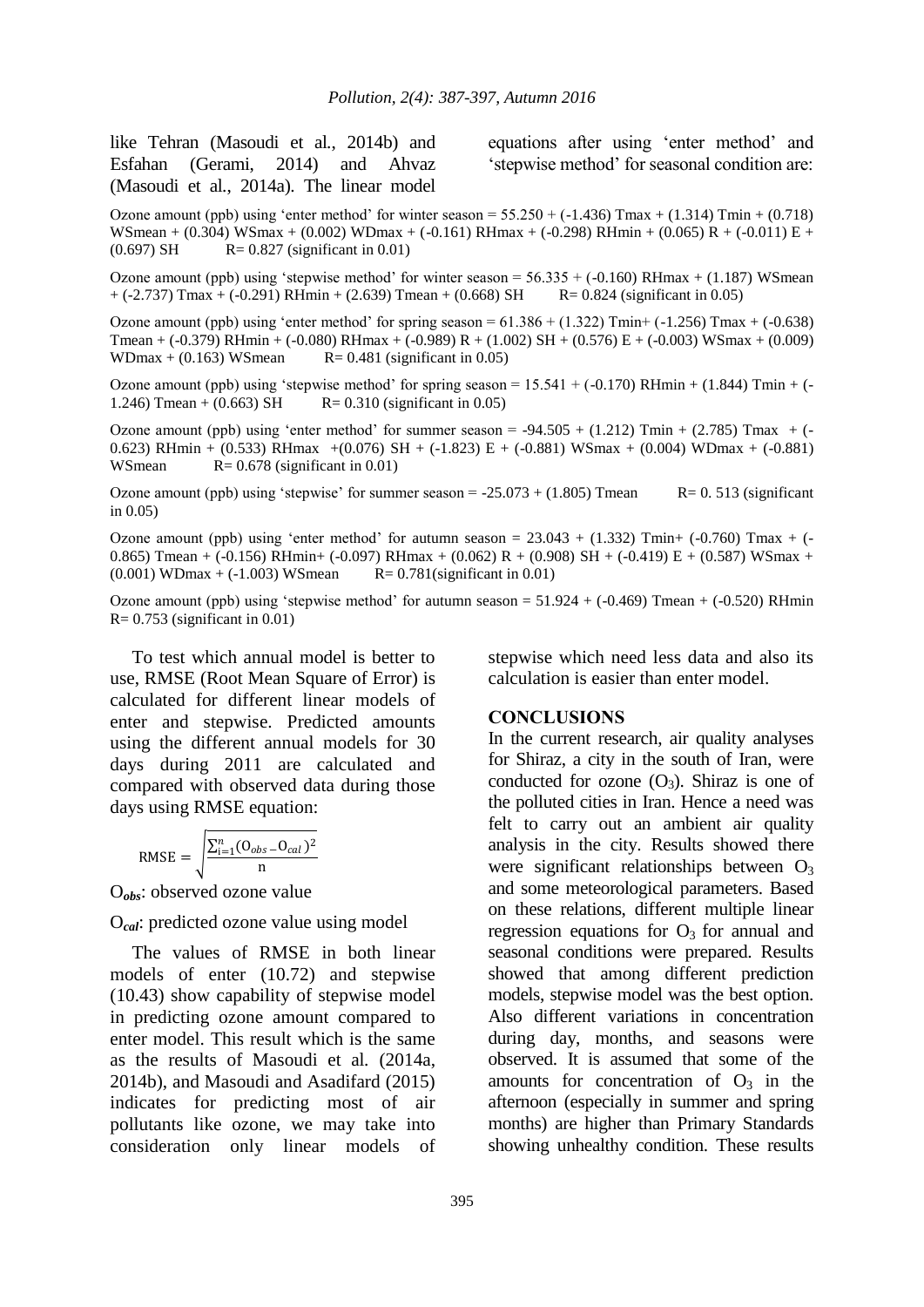like Tehran (Masoudi et al*.*, 2014b) and Esfahan (Gerami, 2014) and Ahvaz (Masoudi et al*.*, 2014a). The linear model equations after using 'enter method' and 'stepwise method' for seasonal condition are:

Ozone amount (ppb) using 'enter method' for winter season =  $55.250 + (-1.436)$  Tmax +  $(1.314)$  Tmin +  $(0.718)$ WSmean + (0.304) WSmax + (0.002) WDmax + (-0.161) RHmax + (-0.298) RHmin + (0.065) R + (-0.011) E +  $(0.697)$  SH R= 0.827 (significant in 0.01)

Ozone amount (ppb) using 'stepwise method' for winter season =  $56.335 + (-0.160)$  RHmax +  $(1.187)$  WSmean  $+$  (-2.737) Tmax + (-0.291) RHmin + (2.639) Tmean + (0.668) SH R= 0.824 (significant in 0.05)

Ozone amount (ppb) using 'enter method' for spring season =  $61.386 + (1.322)$  Tmin+  $(-1.256)$  Tmax  $+ (-0.638)$ Tmean + (-0.379) RHmin + (-0.080) RHmax + (-0.989) R + (1.002) SH + (0.576) E + (-0.003) WSmax + (0.009) WDmax + (0.163) WSmean  $R = 0.481$  (significant in 0.05)

Ozone amount (ppb) using 'stepwise method' for spring season =  $15.541 + (-0.170)$  RHmin +  $(1.844)$  Tmin +  $(-$ 1.246) Tmean + (0.663) SH  $R = 0.310$  (significant in 0.05)

Ozone amount (ppb) using 'enter method' for summer season =  $-94.505 + (1.212)$  Tmin + (2.785) Tmax + (-0.623) RHmin + (0.533) RHmax +(0.076) SH + (-1.823) E + (-0.881) WSmax + (0.004) WDmax + (-0.881) WSmean  $R = 0.678$  (significant in 0.01)

Ozone amount (ppb) using 'stepwise' for summer season  $= -25.073 + (1.805)$  Tmean R= 0. 513 (significant in 0.05)

Ozone amount (ppb) using 'enter method' for autumn season =  $23.043 + (1.332)$  Tmin+ (-0.760) Tmax + (-0.865) Tmean + (-0.156) RHmin+ (-0.097) RHmax + (0.062) R + (0.908) SH + (-0.419) E + (0.587) WSmax +  $(0.001)$  WDmax + (-1.003) WSmean R= 0.781(significant in 0.01)

Ozone amount (ppb) using 'stepwise method' for autumn season  $= 51.924 + (-0.469)$  Tmean  $+ (-0.520)$  RHmin  $R = 0.753$  (significant in 0.01)

To test which annual model is better to use, RMSE (Root Mean Square of Error) is calculated for different linear models of enter and stepwise. Predicted amounts using the different annual models for 30 days during 2011 are calculated and compared with observed data during those days using RMSE equation:

$$
\text{RMSE} = \sqrt{\frac{\sum_{i=1}^{n} (O_{obs} - O_{cal})^2}{n}}
$$

O*obs*: observed ozone value

O*cal*: predicted ozone value using model

The values of RMSE in both linear models of enter (10.72) and stepwise (10.43) show capability of stepwise model in predicting ozone amount compared to enter model. This result which is the same as the results of Masoudi et al*.* (2014a, 2014b), and Masoudi and Asadifard (2015) indicates for predicting most of air pollutants like ozone, we may take into consideration only linear models of stepwise which need less data and also its calculation is easier than enter model.

### **CONCLUSIONS**

In the current research, air quality analyses for Shiraz, a city in the south of Iran, were conducted for ozone  $(O_3)$ . Shiraz is one of the polluted cities in Iran. Hence a need was felt to carry out an ambient air quality analysis in the city. Results showed there were significant relationships between  $O<sub>3</sub>$ and some meteorological parameters. Based on these relations, different multiple linear regression equations for  $O_3$  for annual and seasonal conditions were prepared. Results showed that among different prediction models, stepwise model was the best option. Also different variations in concentration during day, months, and seasons were observed. It is assumed that some of the amounts for concentration of  $O_3$  in the afternoon (especially in summer and spring months) are higher than Primary Standards showing unhealthy condition. These results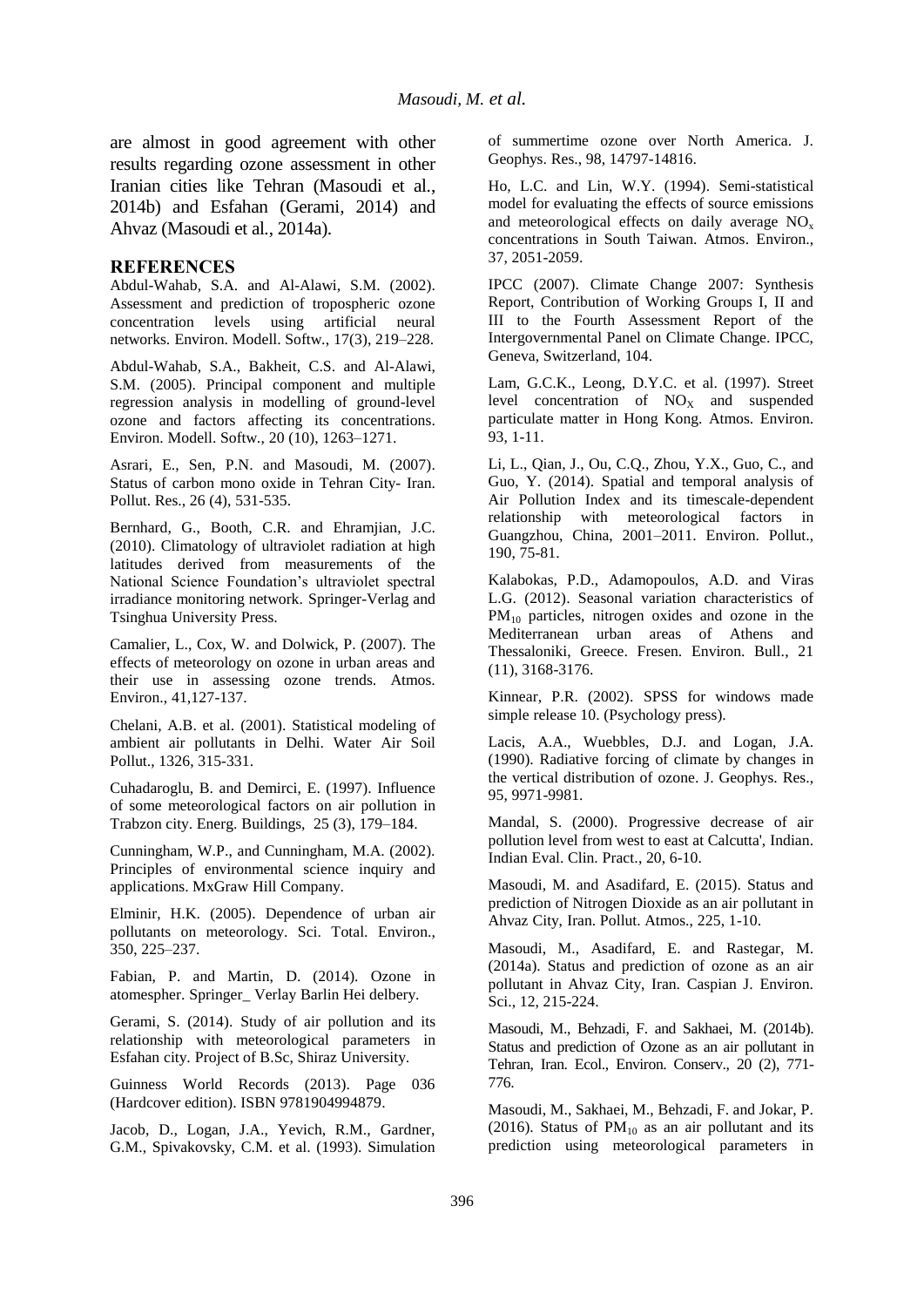are almost in good agreement with other results regarding ozone assessment in other Iranian cities like Tehran (Masoudi et al*.*, 2014b) and Esfahan (Gerami, 2014) and Ahvaz (Masoudi et al*.*, 2014a).

#### **REFERENCES**

Abdul-Wahab, S.A. and Al-Alawi, S.M. (2002). Assessment and prediction of tropospheric ozone concentration levels using artificial neural networks. Environ. Modell. Softw., 17(3), 219–228.

Abdul-Wahab, S.A., Bakheit, C.S. and Al-Alawi, S.M. (2005). Principal component and multiple regression analysis in modelling of ground-level ozone and factors affecting its concentrations. Environ. Modell. Softw., 20 (10), 1263–1271.

Asrari, E., Sen, P.N. and Masoudi, M. (2007). Status of carbon mono oxide in Tehran City- Iran. Pollut. Res., 26 (4), 531-535.

Bernhard, G., Booth, C.R. and Ehramjian, J.C. (2010). Climatology of ultraviolet radiation at high latitudes derived from measurements of the National Science Foundation's ultraviolet spectral irradiance monitoring network. Springer-Verlag and Tsinghua University Press.

Camalier, L., Cox, W. and Dolwick, P. (2007). The effects of meteorology on ozone in urban areas and their use in assessing ozone trends. Atmos. Environ., 41,127-137.

Chelani, A.B. et al. (2001). Statistical modeling of ambient air pollutants in Delhi. Water Air Soil Pollut., 1326, 315-331.

Cuhadaroglu, B. and Demirci, E. (1997). Influence of some meteorological factors on air pollution in Trabzon city. Energ. Buildings, 25 (3), 179–184.

Cunningham, W.P., and Cunningham, M.A. (2002). Principles of environmental science inquiry and applications. MxGraw Hill Company.

Elminir, H.K. (2005). Dependence of urban air pollutants on meteorology. Sci. Total. Environ., 350, 225–237.

Fabian, P. and Martin, D. (2014). Ozone in atomespher. Springer\_ Verlay Barlin Hei delbery.

Gerami, S. (2014). Study of air pollution and its relationship with meteorological parameters in Esfahan city. Project of B.Sc, Shiraz University.

Guinness World Records (2013). Page 036 (Hardcover edition). ISBN 9781904994879.

Jacob, D., Logan, J.A., Yevich, R.M., Gardner, G.M., Spivakovsky, C.M. et al. (1993). Simulation of summertime ozone over North America. J. Geophys. Res., 98, 14797-14816.

Ho, L.C. and Lin, W.Y. (1994). Semi-statistical model for evaluating the effects of source emissions and meteorological effects on daily average  $NO<sub>x</sub>$ concentrations in South Taiwan. Atmos. Environ., 37, 2051-2059.

IPCC (2007). Climate Change 2007: Synthesis Report, Contribution of Working Groups I, II and III to the Fourth Assessment Report of the Intergovernmental Panel on Climate Change. IPCC, Geneva, Switzerland, 104.

Lam, G.C.K., Leong, D.Y.C. et al. (1997). Street level concentration of  $NO<sub>X</sub>$  and suspended particulate matter in Hong Kong. Atmos. Environ. 93, 1-11.

Li, L., Qian, J., Ou, C.Q., Zhou, Y.X., Guo, C., and Guo, Y. (2014). Spatial and temporal analysis of Air Pollution Index and its timescale-dependent relationship with meteorological factors in Guangzhou, China, 2001–2011. Environ. Pollut., 190, 75-81.

Kalabokas, P.D., Adamopoulos, A.D. and Viras L.G. (2012). Seasonal variation characteristics of  $PM_{10}$  particles, nitrogen oxides and ozone in the Mediterranean urban areas of Athens and Thessaloniki, Greece. Fresen. Environ. Bull., 21 (11), 3168-3176.

Kinnear, P.R. (2002). SPSS for windows made simple release 10. (Psychology press).

Lacis, A.A., Wuebbles, D.J. and Logan, J.A. (1990). Radiative forcing of climate by changes in the vertical distribution of ozone. J. Geophys. Res., 95, 9971-9981.

Mandal, S. (2000). Progressive decrease of air pollution level from west to east at Calcutta', Indian. Indian Eval. Clin. Pract., 20, 6-10.

Masoudi, M. and Asadifard, E. (2015). Status and prediction of Nitrogen Dioxide as an air pollutant in Ahvaz City, Iran. Pollut. Atmos., 225, 1-10.

Masoudi, M., Asadifard, E. and Rastegar, M. (2014a). Status and prediction of ozone as an air pollutant in Ahvaz City, Iran. Caspian J. Environ. Sci., 12, 215-224.

Masoudi, M., Behzadi, F. and Sakhaei, M. (2014b). Status and prediction of Ozone as an air pollutant in Tehran, Iran. Ecol., Environ. Conserv., 20 (2), 771- 776.

Masoudi, M., Sakhaei, M., Behzadi, F. and Jokar, P. (2016). Status of  $PM_{10}$  as an air pollutant and its prediction using meteorological parameters in